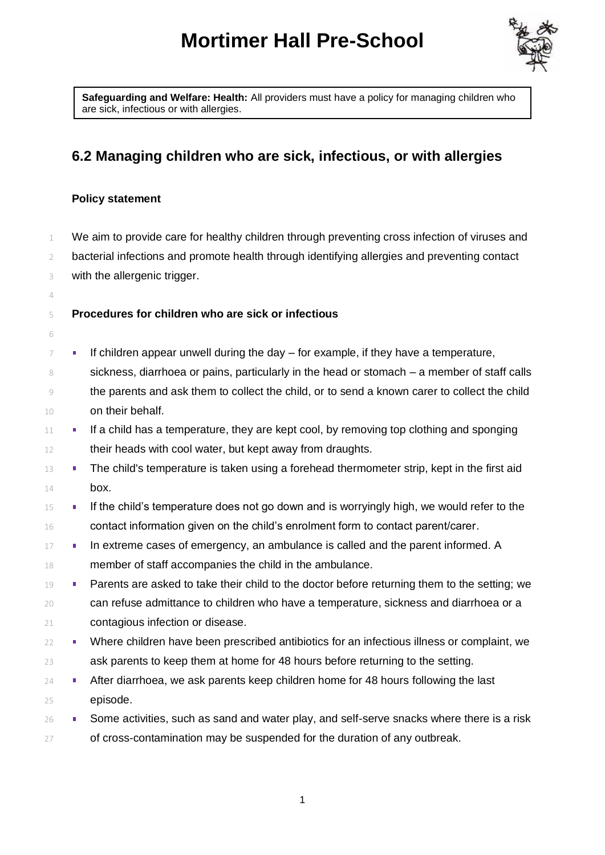# **Mortimer Hall Pre-School**



**Safeguarding and Welfare: Health:** All providers must have a policy for managing children who are sick, infectious or with allergies.

# **6.2 Managing children who are sick, infectious, or with allergies**

#### **Policy statement**

 We aim to provide care for healthy children through preventing cross infection of viruses and bacterial infections and promote health through identifying allergies and preventing contact with the allergenic trigger.

## **Procedures for children who are sick or infectious**

- $7 \blacksquare$  If children appear unwell during the day for example, if they have a temperature, sickness, diarrhoea or pains, particularly in the head or stomach – a member of staff calls
- the parents and ask them to collect the child, or to send a known carer to collect the child on their behalf.
- If a child has a temperature, they are kept cool, by removing top clothing and sponging 12 their heads with cool water, but kept away from draughts.
- **The child's temperature is taken using a forehead thermometer strip, kept in the first aid** box.
- <sup>15</sup> **If the child's temperature does not go down and is worryingly high, we would refer to the** contact information given on the child's enrolment form to contact parent/carer.
- **In extreme cases of emergency, an ambulance is called and the parent informed. A** member of staff accompanies the child in the ambulance.
- 19 Parents are asked to take their child to the doctor before returning them to the setting; we can refuse admittance to children who have a temperature, sickness and diarrhoea or a contagious infection or disease.
- 22 Where children have been prescribed antibiotics for an infectious illness or complaint, we ask parents to keep them at home for 48 hours before returning to the setting.
- **After diarrhoea, we ask parents keep children home for 48 hours following the last** episode.
- $\blacksquare$  Some activities, such as sand and water play, and self-serve snacks where there is a risk 27 of cross-contamination may be suspended for the duration of any outbreak.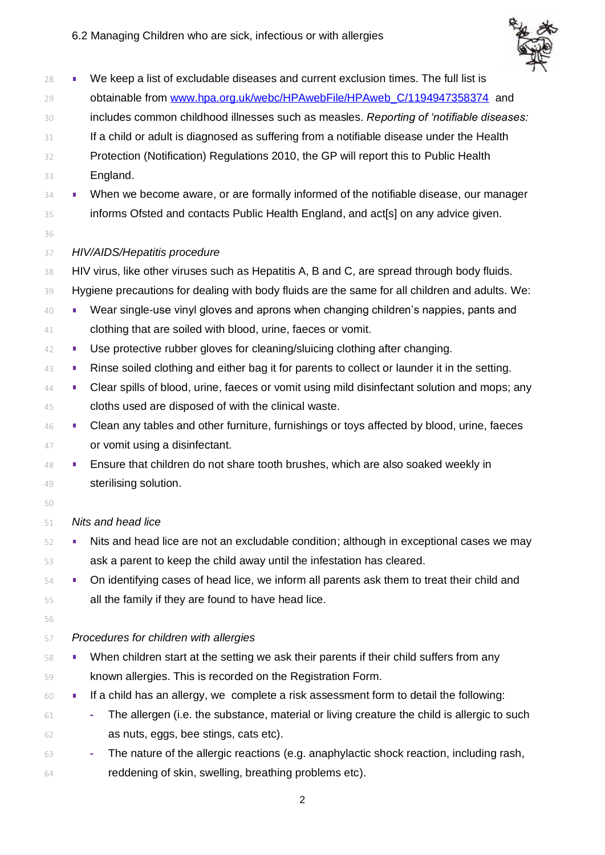

| 28 | We keep a list of excludable diseases and current exclusion times. The full list is<br>ш          |
|----|---------------------------------------------------------------------------------------------------|
| 29 | obtainable from www.hpa.org.uk/webc/HPAwebFile/HPAweb_C/1194947358374 and                         |
| 30 | includes common childhood illnesses such as measles. Reporting of 'notifiable diseases:           |
| 31 | If a child or adult is diagnosed as suffering from a notifiable disease under the Health          |
| 32 | Protection (Notification) Regulations 2010, the GP will report this to Public Health              |
| 33 | England.                                                                                          |
| 34 | When we become aware, or are formally informed of the notifiable disease, our manager<br>ш        |
| 35 | informs Ofsted and contacts Public Health England, and act[s] on any advice given.                |
| 36 |                                                                                                   |
| 37 | HIV/AIDS/Hepatitis procedure                                                                      |
| 38 | HIV virus, like other viruses such as Hepatitis A, B and C, are spread through body fluids.       |
| 39 | Hygiene precautions for dealing with body fluids are the same for all children and adults. We:    |
| 40 | Wear single-use vinyl gloves and aprons when changing children's nappies, pants and<br>п          |
| 41 | clothing that are soiled with blood, urine, faeces or vomit.                                      |
| 42 | Use protective rubber gloves for cleaning/sluicing clothing after changing.<br>п                  |
| 43 | Rinse soiled clothing and either bag it for parents to collect or launder it in the setting.<br>ш |
| 44 | Clear spills of blood, urine, faeces or vomit using mild disinfectant solution and mops; any<br>п |
| 45 | cloths used are disposed of with the clinical waste.                                              |
| 46 | Clean any tables and other furniture, furnishings or toys affected by blood, urine, faeces<br>ш   |
| 47 | or vomit using a disinfectant.                                                                    |
| 48 | Ensure that children do not share tooth brushes, which are also soaked weekly in<br>ш             |
| 49 | sterilising solution.                                                                             |
| 50 |                                                                                                   |
| 51 | Nits and head lice                                                                                |
| 52 | Nits and head lice are not an excludable condition; although in exceptional cases we may          |
| 53 | ask a parent to keep the child away until the infestation has cleared.                            |
| 54 | On identifying cases of head lice, we inform all parents ask them to treat their child and<br>п   |
| 55 | all the family if they are found to have head lice.                                               |
| 56 |                                                                                                   |
| 57 | Procedures for children with allergies                                                            |
| 58 | When children start at the setting we ask their parents if their child suffers from any           |
| 59 | known allergies. This is recorded on the Registration Form.                                       |
| 60 | If a child has an allergy, we complete a risk assessment form to detail the following:<br>٠       |
| 61 | The allergen (i.e. the substance, material or living creature the child is allergic to such<br>۰  |
| 62 | as nuts, eggs, bee stings, cats etc).                                                             |

 **-** The nature of the allergic reactions (e.g. anaphylactic shock reaction, including rash, 64 reddening of skin, swelling, breathing problems etc).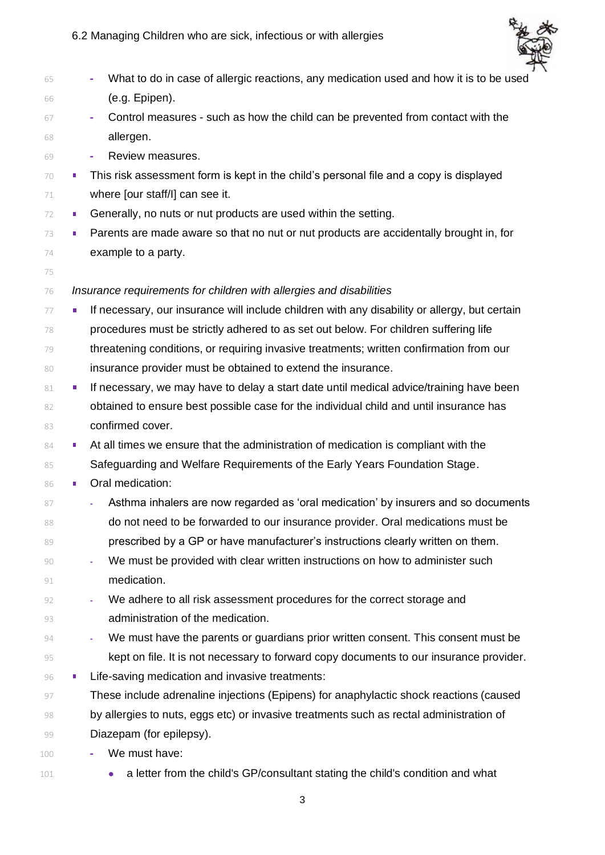

| 65<br>(e.g. Epipen).<br>66<br>67<br>۰<br>allergen.<br>68<br>Review measures.<br>69<br>٠<br>70<br>where [our staff/l] can see it.<br>71<br>Generally, no nuts or nut products are used within the setting.<br>$\mathcal{L}_{\mathcal{A}}$<br>72<br>73<br>o.<br>example to a party.<br>74<br>75<br>Insurance requirements for children with allergies and disabilities<br>76<br>ш<br>77<br>78<br>79<br>insurance provider must be obtained to extend the insurance.<br>80<br>81<br>ш<br>82<br>confirmed cover.<br>83<br>×.<br>84<br>85<br>Oral medication:<br>86<br>٠<br>87<br>88<br>89<br>90<br>٠<br>medication.<br>91<br>We adhere to all risk assessment procedures for the correct storage and<br>92<br>administration of the medication.<br>93<br>94<br>95<br>Life-saving medication and invasive treatments:<br>96<br>п<br>97<br>98<br>Diazepam (for epilepsy).<br>99<br>We must have:<br>100 |  |                                                                                               |
|---------------------------------------------------------------------------------------------------------------------------------------------------------------------------------------------------------------------------------------------------------------------------------------------------------------------------------------------------------------------------------------------------------------------------------------------------------------------------------------------------------------------------------------------------------------------------------------------------------------------------------------------------------------------------------------------------------------------------------------------------------------------------------------------------------------------------------------------------------------------------------------------------|--|-----------------------------------------------------------------------------------------------|
|                                                                                                                                                                                                                                                                                                                                                                                                                                                                                                                                                                                                                                                                                                                                                                                                                                                                                                   |  | What to do in case of allergic reactions, any medication used and how it is to be used        |
|                                                                                                                                                                                                                                                                                                                                                                                                                                                                                                                                                                                                                                                                                                                                                                                                                                                                                                   |  |                                                                                               |
|                                                                                                                                                                                                                                                                                                                                                                                                                                                                                                                                                                                                                                                                                                                                                                                                                                                                                                   |  | Control measures - such as how the child can be prevented from contact with the               |
|                                                                                                                                                                                                                                                                                                                                                                                                                                                                                                                                                                                                                                                                                                                                                                                                                                                                                                   |  |                                                                                               |
|                                                                                                                                                                                                                                                                                                                                                                                                                                                                                                                                                                                                                                                                                                                                                                                                                                                                                                   |  |                                                                                               |
|                                                                                                                                                                                                                                                                                                                                                                                                                                                                                                                                                                                                                                                                                                                                                                                                                                                                                                   |  | This risk assessment form is kept in the child's personal file and a copy is displayed        |
|                                                                                                                                                                                                                                                                                                                                                                                                                                                                                                                                                                                                                                                                                                                                                                                                                                                                                                   |  |                                                                                               |
|                                                                                                                                                                                                                                                                                                                                                                                                                                                                                                                                                                                                                                                                                                                                                                                                                                                                                                   |  |                                                                                               |
|                                                                                                                                                                                                                                                                                                                                                                                                                                                                                                                                                                                                                                                                                                                                                                                                                                                                                                   |  | Parents are made aware so that no nut or nut products are accidentally brought in, for        |
|                                                                                                                                                                                                                                                                                                                                                                                                                                                                                                                                                                                                                                                                                                                                                                                                                                                                                                   |  |                                                                                               |
|                                                                                                                                                                                                                                                                                                                                                                                                                                                                                                                                                                                                                                                                                                                                                                                                                                                                                                   |  |                                                                                               |
|                                                                                                                                                                                                                                                                                                                                                                                                                                                                                                                                                                                                                                                                                                                                                                                                                                                                                                   |  |                                                                                               |
|                                                                                                                                                                                                                                                                                                                                                                                                                                                                                                                                                                                                                                                                                                                                                                                                                                                                                                   |  | If necessary, our insurance will include children with any disability or allergy, but certain |
|                                                                                                                                                                                                                                                                                                                                                                                                                                                                                                                                                                                                                                                                                                                                                                                                                                                                                                   |  | procedures must be strictly adhered to as set out below. For children suffering life          |
|                                                                                                                                                                                                                                                                                                                                                                                                                                                                                                                                                                                                                                                                                                                                                                                                                                                                                                   |  | threatening conditions, or requiring invasive treatments; written confirmation from our       |
|                                                                                                                                                                                                                                                                                                                                                                                                                                                                                                                                                                                                                                                                                                                                                                                                                                                                                                   |  |                                                                                               |
|                                                                                                                                                                                                                                                                                                                                                                                                                                                                                                                                                                                                                                                                                                                                                                                                                                                                                                   |  | If necessary, we may have to delay a start date until medical advice/training have been       |
|                                                                                                                                                                                                                                                                                                                                                                                                                                                                                                                                                                                                                                                                                                                                                                                                                                                                                                   |  | obtained to ensure best possible case for the individual child and until insurance has        |
|                                                                                                                                                                                                                                                                                                                                                                                                                                                                                                                                                                                                                                                                                                                                                                                                                                                                                                   |  |                                                                                               |
|                                                                                                                                                                                                                                                                                                                                                                                                                                                                                                                                                                                                                                                                                                                                                                                                                                                                                                   |  | At all times we ensure that the administration of medication is compliant with the            |
|                                                                                                                                                                                                                                                                                                                                                                                                                                                                                                                                                                                                                                                                                                                                                                                                                                                                                                   |  | Safeguarding and Welfare Requirements of the Early Years Foundation Stage.                    |
|                                                                                                                                                                                                                                                                                                                                                                                                                                                                                                                                                                                                                                                                                                                                                                                                                                                                                                   |  |                                                                                               |
|                                                                                                                                                                                                                                                                                                                                                                                                                                                                                                                                                                                                                                                                                                                                                                                                                                                                                                   |  | Asthma inhalers are now regarded as 'oral medication' by insurers and so documents            |
|                                                                                                                                                                                                                                                                                                                                                                                                                                                                                                                                                                                                                                                                                                                                                                                                                                                                                                   |  | do not need to be forwarded to our insurance provider. Oral medications must be               |
|                                                                                                                                                                                                                                                                                                                                                                                                                                                                                                                                                                                                                                                                                                                                                                                                                                                                                                   |  | prescribed by a GP or have manufacturer's instructions clearly written on them.               |
|                                                                                                                                                                                                                                                                                                                                                                                                                                                                                                                                                                                                                                                                                                                                                                                                                                                                                                   |  | We must be provided with clear written instructions on how to administer such                 |
|                                                                                                                                                                                                                                                                                                                                                                                                                                                                                                                                                                                                                                                                                                                                                                                                                                                                                                   |  |                                                                                               |
|                                                                                                                                                                                                                                                                                                                                                                                                                                                                                                                                                                                                                                                                                                                                                                                                                                                                                                   |  |                                                                                               |
|                                                                                                                                                                                                                                                                                                                                                                                                                                                                                                                                                                                                                                                                                                                                                                                                                                                                                                   |  |                                                                                               |
|                                                                                                                                                                                                                                                                                                                                                                                                                                                                                                                                                                                                                                                                                                                                                                                                                                                                                                   |  | We must have the parents or guardians prior written consent. This consent must be             |
|                                                                                                                                                                                                                                                                                                                                                                                                                                                                                                                                                                                                                                                                                                                                                                                                                                                                                                   |  | kept on file. It is not necessary to forward copy documents to our insurance provider.        |
|                                                                                                                                                                                                                                                                                                                                                                                                                                                                                                                                                                                                                                                                                                                                                                                                                                                                                                   |  |                                                                                               |
|                                                                                                                                                                                                                                                                                                                                                                                                                                                                                                                                                                                                                                                                                                                                                                                                                                                                                                   |  | These include adrenaline injections (Epipens) for anaphylactic shock reactions (caused        |
|                                                                                                                                                                                                                                                                                                                                                                                                                                                                                                                                                                                                                                                                                                                                                                                                                                                                                                   |  | by allergies to nuts, eggs etc) or invasive treatments such as rectal administration of       |
|                                                                                                                                                                                                                                                                                                                                                                                                                                                                                                                                                                                                                                                                                                                                                                                                                                                                                                   |  |                                                                                               |
|                                                                                                                                                                                                                                                                                                                                                                                                                                                                                                                                                                                                                                                                                                                                                                                                                                                                                                   |  |                                                                                               |

101 • a letter from the child's GP/consultant stating the child's condition and what